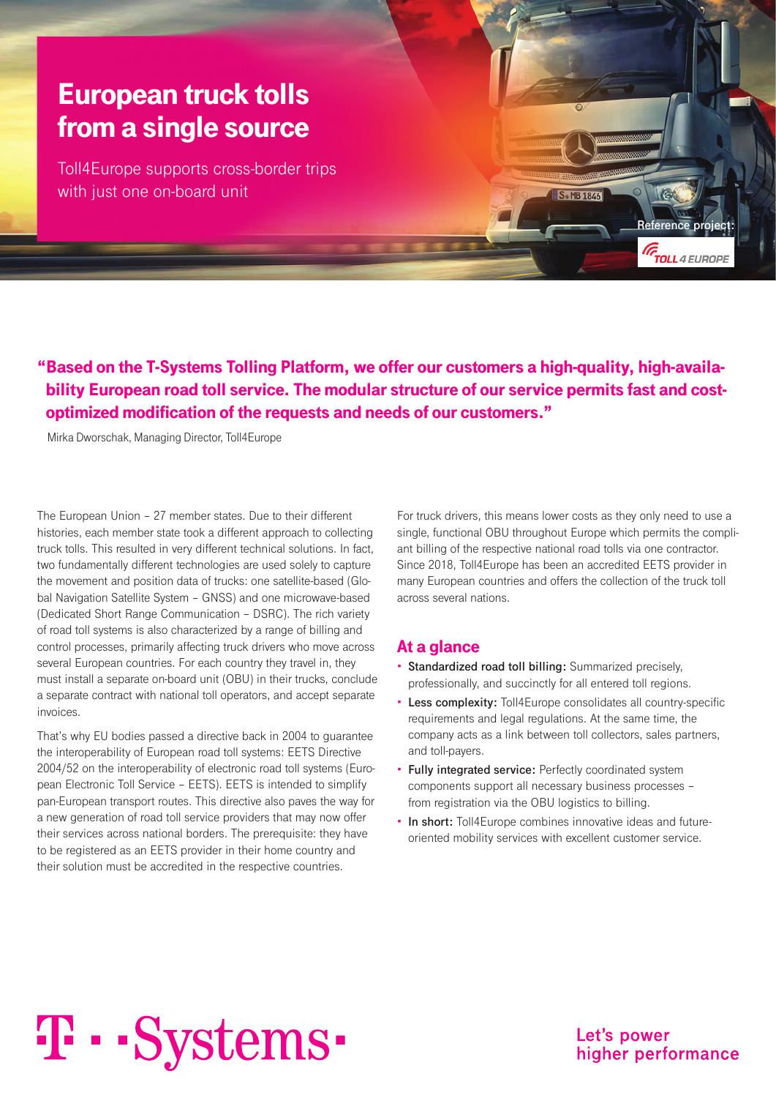### European truck tolls from a single source

Toll4Europe supports cross-border trips with just one on-board unit

"Based on the T-Systems Tolling Platform, we offer our customers a high-quality, high-availability European road toll service. The modular structure of our service permits fast and costoptimized modification of the requests and needs of our customers."

Mirka Dworschak, Managing Director, Toll4Europe

The European Union – 27 member states. Due to their different histories, each member state took a different approach to collecting truck tolls. This resulted in very different technical solutions. In fact, two fundamentally different technologies are used solely to capture the movement and position data of trucks: one satellite-based (Global Navigation Satellite System – GNSS) and one microwave-based (Dedicated Short Range Communication – DSRC). The rich variety of road toll systems is also characterized by a range of billing and control processes, primarily affecting truck drivers who move across several European countries. For each country they travel in, they must install a separate on-board unit (OBU) in their trucks, conclude a separate contract with national toll operators, and accept separate invoices.

That's why EU bodies passed a directive back in 2004 to guarantee the interoperability of European road toll systems: EETS Directive 2004/52 on the interoperability of electronic road toll systems (European Electronic Toll Service – EETS). EETS is intended to simplify pan-European transport routes. This directive also paves the way for a new generation of road toll service providers that may now offer their services across national borders. The prerequisite: they have to be registered as an EETS provider in their home country and their solution must be accredited in the respective countries.

For truck drivers, this means lower costs as they only need to use a single, functional OBU throughout Europe which permits the compliant billing of the respective national road tolls via one contractor. Since 2018, Toll4Europe has been an accredited EETS provider in many European countries and offers the collection of the truck toll across several nations.

S. MB 1846

**Reference pro** 

**GTOLL** 4 EUROPE

#### At a glance

- **• Standardized road toll billing:** Summarized precisely, professionally, and succinctly for all entered toll regions.
- **• Less complexity:** Toll4Europe consolidates all country-specific requirements and legal regulations. At the same time, the company acts as a link between toll collectors, sales partners, and toll-payers.
- **• Fully integrated service:** Perfectly coordinated system components support all necessary business processes – from registration via the OBU logistics to billing.
- **• In short:** Toll4Europe combines innovative ideas and futureoriented mobility services with excellent customer service.

# T · · Systems ·

Let's power higher performance